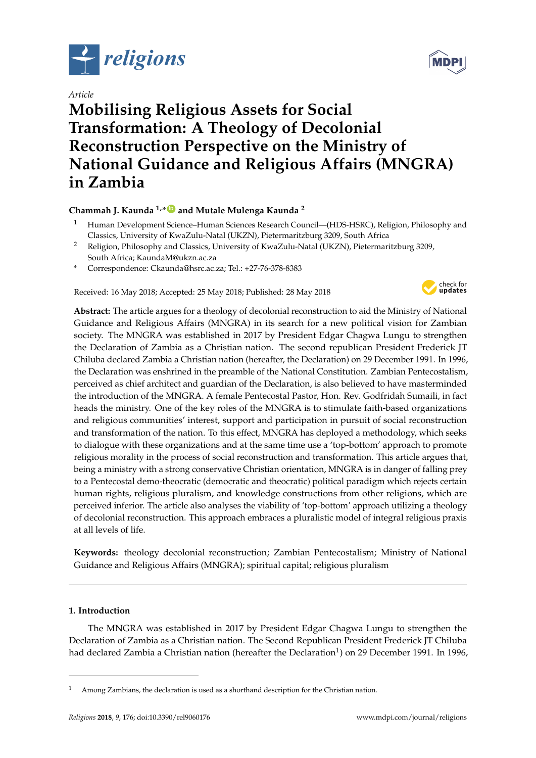

# *Article*

# **Mobilising Religious Assets for Social Transformation: A Theology of Decolonial Reconstruction Perspective on the Ministry of National Guidance and Religious Affairs (MNGRA) in Zambia**

# **Chammah J. Kaunda 1,\* [ID](https://orcid.org/0000-0001-6879-6330) and Mutale Mulenga Kaunda <sup>2</sup>**

- <sup>1</sup> Human Development Science–Human Sciences Research Council—(HDS-HSRC), Religion, Philosophy and Classics, University of KwaZulu-Natal (UKZN), Pietermaritzburg 3209, South Africa
- <sup>2</sup> Religion, Philosophy and Classics, University of KwaZulu-Natal (UKZN), Pietermaritzburg 3209, South Africa; KaundaM@ukzn.ac.za
- **\*** Correspondence: Ckaunda@hsrc.ac.za; Tel.: +27-76-378-8383

Received: 16 May 2018; Accepted: 25 May 2018; Published: 28 May 2018



**Abstract:** The article argues for a theology of decolonial reconstruction to aid the Ministry of National Guidance and Religious Affairs (MNGRA) in its search for a new political vision for Zambian society. The MNGRA was established in 2017 by President Edgar Chagwa Lungu to strengthen the Declaration of Zambia as a Christian nation. The second republican President Frederick JT Chiluba declared Zambia a Christian nation (hereafter, the Declaration) on 29 December 1991. In 1996, the Declaration was enshrined in the preamble of the National Constitution. Zambian Pentecostalism, perceived as chief architect and guardian of the Declaration, is also believed to have masterminded the introduction of the MNGRA. A female Pentecostal Pastor, Hon. Rev. Godfridah Sumaili, in fact heads the ministry. One of the key roles of the MNGRA is to stimulate faith-based organizations and religious communities' interest, support and participation in pursuit of social reconstruction and transformation of the nation. To this effect, MNGRA has deployed a methodology, which seeks to dialogue with these organizations and at the same time use a 'top-bottom' approach to promote religious morality in the process of social reconstruction and transformation. This article argues that, being a ministry with a strong conservative Christian orientation, MNGRA is in danger of falling prey to a Pentecostal demo-theocratic (democratic and theocratic) political paradigm which rejects certain human rights, religious pluralism, and knowledge constructions from other religions, which are perceived inferior. The article also analyses the viability of 'top-bottom' approach utilizing a theology of decolonial reconstruction. This approach embraces a pluralistic model of integral religious praxis at all levels of life.

**Keywords:** theology decolonial reconstruction; Zambian Pentecostalism; Ministry of National Guidance and Religious Affairs (MNGRA); spiritual capital; religious pluralism

# **1. Introduction**

The MNGRA was established in 2017 by President Edgar Chagwa Lungu to strengthen the Declaration of Zambia as a Christian nation. The Second Republican President Frederick JT Chiluba had declared Zambia a Christian nation (hereafter the Declaration $^1$ ) on 29 December 1991. In 1996,



 $1$  Among Zambians, the declaration is used as a shorthand description for the Christian nation.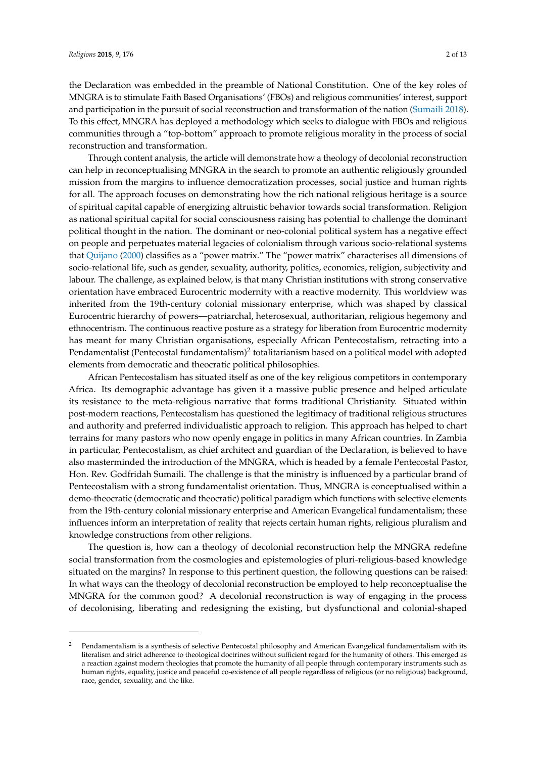the Declaration was embedded in the preamble of National Constitution. One of the key roles of MNGRA is to stimulate Faith Based Organisations' (FBOs) and religious communities' interest, support and participation in the pursuit of social reconstruction and transformation of the nation [\(Sumaili](#page-12-0) [2018\)](#page-12-0). To this effect, MNGRA has deployed a methodology which seeks to dialogue with FBOs and religious communities through a "top-bottom" approach to promote religious morality in the process of social reconstruction and transformation.

Through content analysis, the article will demonstrate how a theology of decolonial reconstruction can help in reconceptualising MNGRA in the search to promote an authentic religiously grounded mission from the margins to influence democratization processes, social justice and human rights for all. The approach focuses on demonstrating how the rich national religious heritage is a source of spiritual capital capable of energizing altruistic behavior towards social transformation. Religion as national spiritual capital for social consciousness raising has potential to challenge the dominant political thought in the nation. The dominant or neo-colonial political system has a negative effect on people and perpetuates material legacies of colonialism through various socio-relational systems that [Quijano](#page-12-1) [\(2000\)](#page-12-1) classifies as a "power matrix." The "power matrix" characterises all dimensions of socio-relational life, such as gender, sexuality, authority, politics, economics, religion, subjectivity and labour. The challenge, as explained below, is that many Christian institutions with strong conservative orientation have embraced Eurocentric modernity with a reactive modernity. This worldview was inherited from the 19th-century colonial missionary enterprise, which was shaped by classical Eurocentric hierarchy of powers—patriarchal, heterosexual, authoritarian, religious hegemony and ethnocentrism. The continuous reactive posture as a strategy for liberation from Eurocentric modernity has meant for many Christian organisations, especially African Pentecostalism, retracting into a Pendamentalist (Pentecostal fundamentalism)<sup>2</sup> totalitarianism based on a political model with adopted elements from democratic and theocratic political philosophies.

African Pentecostalism has situated itself as one of the key religious competitors in contemporary Africa. Its demographic advantage has given it a massive public presence and helped articulate its resistance to the meta-religious narrative that forms traditional Christianity. Situated within post-modern reactions, Pentecostalism has questioned the legitimacy of traditional religious structures and authority and preferred individualistic approach to religion. This approach has helped to chart terrains for many pastors who now openly engage in politics in many African countries. In Zambia in particular, Pentecostalism, as chief architect and guardian of the Declaration, is believed to have also masterminded the introduction of the MNGRA, which is headed by a female Pentecostal Pastor, Hon. Rev. Godfridah Sumaili. The challenge is that the ministry is influenced by a particular brand of Pentecostalism with a strong fundamentalist orientation. Thus, MNGRA is conceptualised within a demo-theocratic (democratic and theocratic) political paradigm which functions with selective elements from the 19th-century colonial missionary enterprise and American Evangelical fundamentalism; these influences inform an interpretation of reality that rejects certain human rights, religious pluralism and knowledge constructions from other religions.

The question is, how can a theology of decolonial reconstruction help the MNGRA redefine social transformation from the cosmologies and epistemologies of pluri-religious-based knowledge situated on the margins? In response to this pertinent question, the following questions can be raised: In what ways can the theology of decolonial reconstruction be employed to help reconceptualise the MNGRA for the common good? A decolonial reconstruction is way of engaging in the process of decolonising, liberating and redesigning the existing, but dysfunctional and colonial-shaped

<sup>2</sup> Pendamentalism is a synthesis of selective Pentecostal philosophy and American Evangelical fundamentalism with its literalism and strict adherence to theological doctrines without sufficient regard for the humanity of others. This emerged as a reaction against modern theologies that promote the humanity of all people through contemporary instruments such as human rights, equality, justice and peaceful co-existence of all people regardless of religious (or no religious) background, race, gender, sexuality, and the like.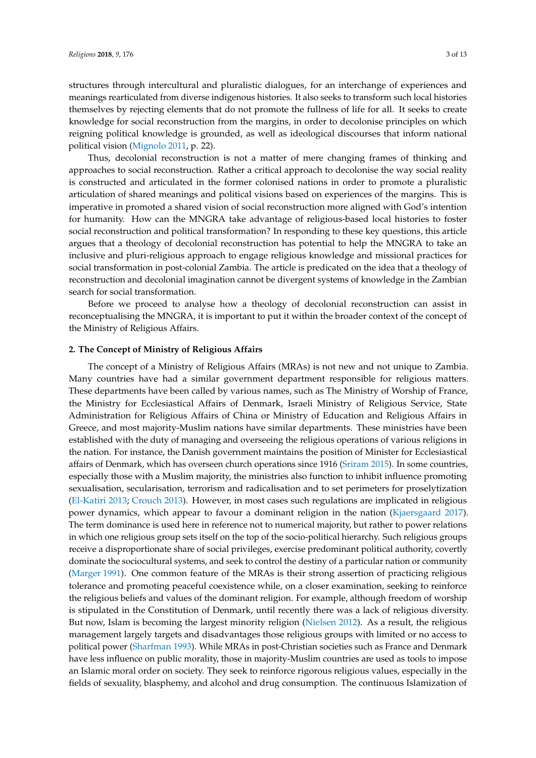structures through intercultural and pluralistic dialogues, for an interchange of experiences and meanings rearticulated from diverse indigenous histories. It also seeks to transform such local histories themselves by rejecting elements that do not promote the fullness of life for all. It seeks to create knowledge for social reconstruction from the margins, in order to decolonise principles on which reigning political knowledge is grounded, as well as ideological discourses that inform national political vision [\(Mignolo](#page-11-0) [2011,](#page-11-0) p. 22).

Thus, decolonial reconstruction is not a matter of mere changing frames of thinking and approaches to social reconstruction. Rather a critical approach to decolonise the way social reality is constructed and articulated in the former colonised nations in order to promote a pluralistic articulation of shared meanings and political visions based on experiences of the margins. This is imperative in promoted a shared vision of social reconstruction more aligned with God's intention for humanity. How can the MNGRA take advantage of religious-based local histories to foster social reconstruction and political transformation? In responding to these key questions, this article argues that a theology of decolonial reconstruction has potential to help the MNGRA to take an inclusive and pluri-religious approach to engage religious knowledge and missional practices for social transformation in post-colonial Zambia. The article is predicated on the idea that a theology of reconstruction and decolonial imagination cannot be divergent systems of knowledge in the Zambian search for social transformation.

Before we proceed to analyse how a theology of decolonial reconstruction can assist in reconceptualising the MNGRA, it is important to put it within the broader context of the concept of the Ministry of Religious Affairs.

# **2. The Concept of Ministry of Religious Affairs**

The concept of a Ministry of Religious Affairs (MRAs) is not new and not unique to Zambia. Many countries have had a similar government department responsible for religious matters. These departments have been called by various names, such as The Ministry of Worship of France, the Ministry for Ecclesiastical Affairs of Denmark, Israeli Ministry of Religious Service, State Administration for Religious Affairs of China or Ministry of Education and Religious Affairs in Greece, and most majority-Muslim nations have similar departments. These ministries have been established with the duty of managing and overseeing the religious operations of various religions in the nation. For instance, the Danish government maintains the position of Minister for Ecclesiastical affairs of Denmark, which has overseen church operations since 1916 [\(Sriram](#page-12-2) [2015\)](#page-12-2). In some countries, especially those with a Muslim majority, the ministries also function to inhibit influence promoting sexualisation, secularisation, terrorism and radicalisation and to set perimeters for proselytization [\(El-Katiri](#page-10-0) [2013;](#page-10-0) [Crouch](#page-10-1) [2013\)](#page-10-1). However, in most cases such regulations are implicated in religious power dynamics, which appear to favour a dominant religion in the nation [\(Kjaersgaard](#page-11-1) [2017\)](#page-11-1). The term dominance is used here in reference not to numerical majority, but rather to power relations in which one religious group sets itself on the top of the socio-political hierarchy. Such religious groups receive a disproportionate share of social privileges, exercise predominant political authority, covertly dominate the sociocultural systems, and seek to control the destiny of a particular nation or community [\(Marger](#page-11-2) [1991\)](#page-11-2). One common feature of the MRAs is their strong assertion of practicing religious tolerance and promoting peaceful coexistence while, on a closer examination, seeking to reinforce the religious beliefs and values of the dominant religion. For example, although freedom of worship is stipulated in the Constitution of Denmark, until recently there was a lack of religious diversity. But now, Islam is becoming the largest minority religion [\(Nielsen](#page-11-3) [2012\)](#page-11-3). As a result, the religious management largely targets and disadvantages those religious groups with limited or no access to political power [\(Sharfman](#page-12-3) [1993\)](#page-12-3). While MRAs in post-Christian societies such as France and Denmark have less influence on public morality, those in majority-Muslim countries are used as tools to impose an Islamic moral order on society. They seek to reinforce rigorous religious values, especially in the fields of sexuality, blasphemy, and alcohol and drug consumption. The continuous Islamization of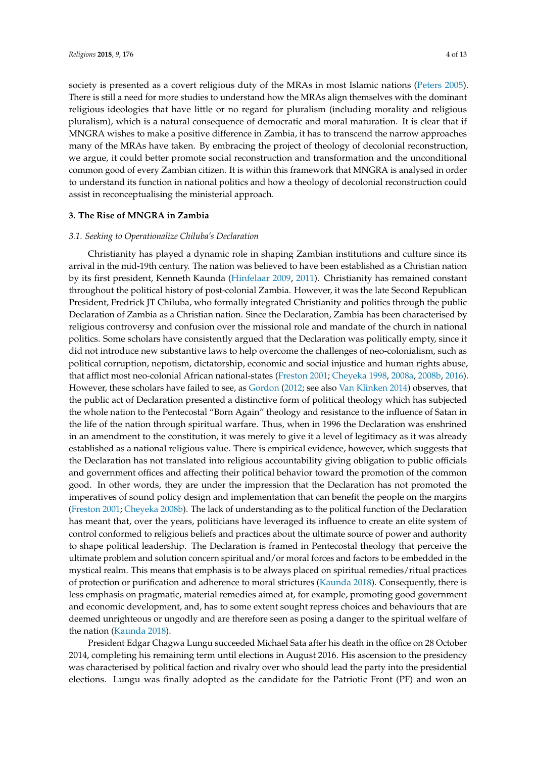society is presented as a covert religious duty of the MRAs in most Islamic nations [\(Peters](#page-12-4) [2005\)](#page-12-4). There is still a need for more studies to understand how the MRAs align themselves with the dominant religious ideologies that have little or no regard for pluralism (including morality and religious pluralism), which is a natural consequence of democratic and moral maturation. It is clear that if MNGRA wishes to make a positive difference in Zambia, it has to transcend the narrow approaches many of the MRAs have taken. By embracing the project of theology of decolonial reconstruction, we argue, it could better promote social reconstruction and transformation and the unconditional common good of every Zambian citizen. It is within this framework that MNGRA is analysed in order to understand its function in national politics and how a theology of decolonial reconstruction could assist in reconceptualising the ministerial approach.

## **3. The Rise of MNGRA in Zambia**

#### *3.1. Seeking to Operationalize Chiluba's Declaration*

Christianity has played a dynamic role in shaping Zambian institutions and culture since its arrival in the mid-19th century. The nation was believed to have been established as a Christian nation by its first president, Kenneth Kaunda [\(Hinfelaar](#page-11-4) [2009,](#page-11-4) [2011\)](#page-11-5). Christianity has remained constant throughout the political history of post-colonial Zambia. However, it was the late Second Republican President, Fredrick JT Chiluba, who formally integrated Christianity and politics through the public Declaration of Zambia as a Christian nation. Since the Declaration, Zambia has been characterised by religious controversy and confusion over the missional role and mandate of the church in national politics. Some scholars have consistently argued that the Declaration was politically empty, since it did not introduce new substantive laws to help overcome the challenges of neo-colonialism, such as political corruption, nepotism, dictatorship, economic and social injustice and human rights abuse, that afflict most neo-colonial African national-states [\(Freston](#page-10-2) [2001;](#page-10-2) [Cheyeka](#page-10-3) [1998,](#page-10-3) [2008a,](#page-10-4) [2008b,](#page-10-5) [2016\)](#page-10-6). However, these scholars have failed to see, as [Gordon](#page-10-7) [\(2012;](#page-10-7) see also [Van Klinken](#page-12-5) [2014\)](#page-12-5) observes, that the public act of Declaration presented a distinctive form of political theology which has subjected the whole nation to the Pentecostal "Born Again" theology and resistance to the influence of Satan in the life of the nation through spiritual warfare. Thus, when in 1996 the Declaration was enshrined in an amendment to the constitution, it was merely to give it a level of legitimacy as it was already established as a national religious value. There is empirical evidence, however, which suggests that the Declaration has not translated into religious accountability giving obligation to public officials and government offices and affecting their political behavior toward the promotion of the common good. In other words, they are under the impression that the Declaration has not promoted the imperatives of sound policy design and implementation that can benefit the people on the margins [\(Freston](#page-10-2) [2001;](#page-10-2) [Cheyeka](#page-10-5) [2008b\)](#page-10-5). The lack of understanding as to the political function of the Declaration has meant that, over the years, politicians have leveraged its influence to create an elite system of control conformed to religious beliefs and practices about the ultimate source of power and authority to shape political leadership. The Declaration is framed in Pentecostal theology that perceive the ultimate problem and solution concern spiritual and/or moral forces and factors to be embedded in the mystical realm. This means that emphasis is to be always placed on spiritual remedies/ritual practices of protection or purification and adherence to moral strictures [\(Kaunda](#page-11-6) [2018\)](#page-11-6). Consequently, there is less emphasis on pragmatic, material remedies aimed at, for example, promoting good government and economic development, and, has to some extent sought repress choices and behaviours that are deemed unrighteous or ungodly and are therefore seen as posing a danger to the spiritual welfare of the nation [\(Kaunda](#page-11-6) [2018\)](#page-11-6).

President Edgar Chagwa Lungu succeeded Michael Sata after his death in the office on 28 October 2014, completing his remaining term until elections in August 2016. His ascension to the presidency was characterised by political faction and rivalry over who should lead the party into the presidential elections. Lungu was finally adopted as the candidate for the Patriotic Front (PF) and won an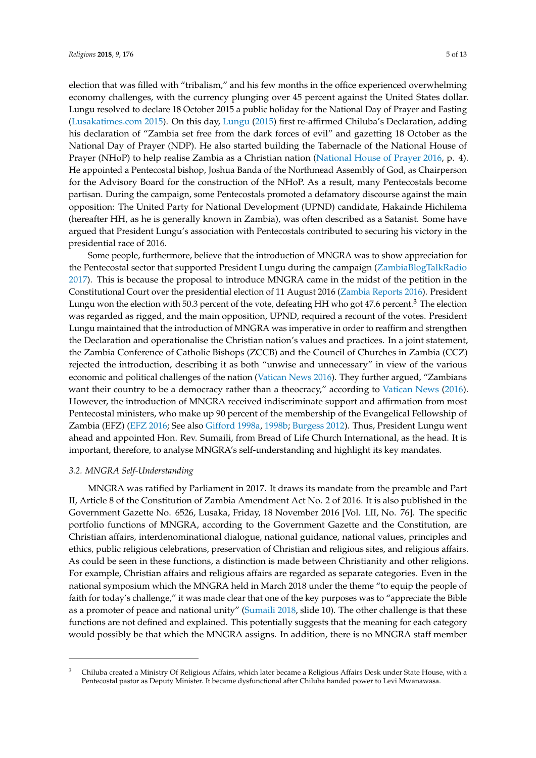election that was filled with "tribalism," and his few months in the office experienced overwhelming economy challenges, with the currency plunging over 45 percent against the United States dollar. Lungu resolved to declare 18 October 2015 a public holiday for the National Day of Prayer and Fasting [\(Lusakatimes.com](#page-11-7) [2015\)](#page-11-7). On this day, [Lungu](#page-11-8) [\(2015\)](#page-11-8) first re-affirmed Chiluba's Declaration, adding his declaration of "Zambia set free from the dark forces of evil" and gazetting 18 October as the National Day of Prayer (NDP). He also started building the Tabernacle of the National House of Prayer (NHoP) to help realise Zambia as a Christian nation [\(National House of Prayer](#page-11-9) [2016,](#page-11-9) p. 4). He appointed a Pentecostal bishop, Joshua Banda of the Northmead Assembly of God, as Chairperson for the Advisory Board for the construction of the NHoP. As a result, many Pentecostals become partisan. During the campaign, some Pentecostals promoted a defamatory discourse against the main opposition: The United Party for National Development (UPND) candidate, Hakainde Hichilema (hereafter HH, as he is generally known in Zambia), was often described as a Satanist. Some have argued that President Lungu's association with Pentecostals contributed to securing his victory in the presidential race of 2016.

Some people, furthermore, believe that the introduction of MNGRA was to show appreciation for the Pentecostal sector that supported President Lungu during the campaign [\(ZambiaBlogTalkRadio](#page-12-6) [2017\)](#page-12-6). This is because the proposal to introduce MNGRA came in the midst of the petition in the Constitutional Court over the presidential election of 11 August 2016 [\(Zambia Reports](#page-12-7) [2016\)](#page-12-7). President Lungu won the election with 50.3 percent of the vote, defeating HH who got 47.6 percent.<sup>3</sup> The election was regarded as rigged, and the main opposition, UPND, required a recount of the votes. President Lungu maintained that the introduction of MNGRA was imperative in order to reaffirm and strengthen the Declaration and operationalise the Christian nation's values and practices. In a joint statement, the Zambia Conference of Catholic Bishops (ZCCB) and the Council of Churches in Zambia (CCZ) rejected the introduction, describing it as both "unwise and unnecessary" in view of the various economic and political challenges of the nation [\(Vatican News](#page-12-8) [2016\)](#page-12-8). They further argued, "Zambians want their country to be a democracy rather than a theocracy," according to [Vatican News](#page-12-8) [\(2016\)](#page-12-8). However, the introduction of MNGRA received indiscriminate support and affirmation from most Pentecostal ministers, who make up 90 percent of the membership of the Evangelical Fellowship of Zambia (EFZ) [\(EFZ](#page-10-8) [2016;](#page-10-8) See also [Gifford](#page-10-9) [1998a,](#page-10-9) [1998b;](#page-10-10) [Burgess](#page-10-11) [2012\)](#page-10-11). Thus, President Lungu went ahead and appointed Hon. Rev. Sumaili, from Bread of Life Church International, as the head. It is important, therefore, to analyse MNGRA's self-understanding and highlight its key mandates.

# *3.2. MNGRA Self-Understanding*

MNGRA was ratified by Parliament in 2017. It draws its mandate from the preamble and Part II, Article 8 of the Constitution of Zambia Amendment Act No. 2 of 2016. It is also published in the Government Gazette No. 6526, Lusaka, Friday, 18 November 2016 [Vol. LII, No. 76]. The specific portfolio functions of MNGRA, according to the Government Gazette and the Constitution, are Christian affairs, interdenominational dialogue, national guidance, national values, principles and ethics, public religious celebrations, preservation of Christian and religious sites, and religious affairs. As could be seen in these functions, a distinction is made between Christianity and other religions. For example, Christian affairs and religious affairs are regarded as separate categories. Even in the national symposium which the MNGRA held in March 2018 under the theme "to equip the people of faith for today's challenge," it was made clear that one of the key purposes was to "appreciate the Bible as a promoter of peace and national unity" [\(Sumaili](#page-12-0) [2018,](#page-12-0) slide 10). The other challenge is that these functions are not defined and explained. This potentially suggests that the meaning for each category would possibly be that which the MNGRA assigns. In addition, there is no MNGRA staff member

<sup>&</sup>lt;sup>3</sup> Chiluba created a Ministry Of Religious Affairs, which later became a Religious Affairs Desk under State House, with a Pentecostal pastor as Deputy Minister. It became dysfunctional after Chiluba handed power to Levi Mwanawasa.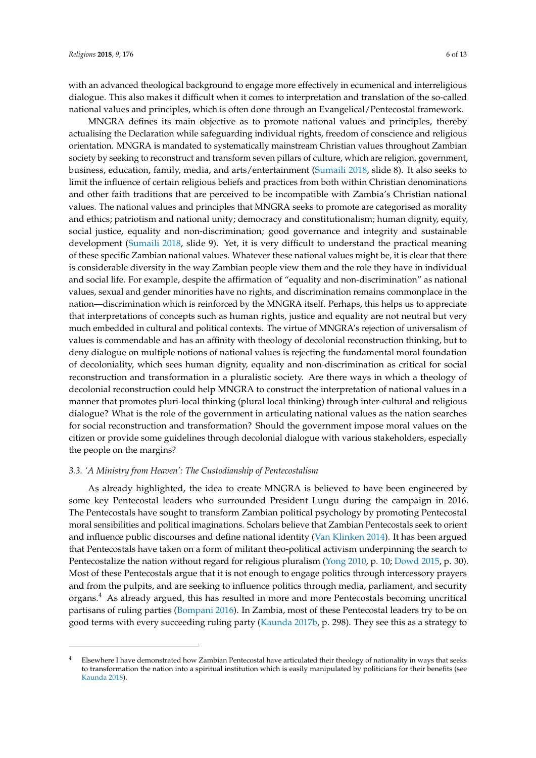with an advanced theological background to engage more effectively in ecumenical and interreligious dialogue. This also makes it difficult when it comes to interpretation and translation of the so-called national values and principles, which is often done through an Evangelical/Pentecostal framework.

MNGRA defines its main objective as to promote national values and principles, thereby actualising the Declaration while safeguarding individual rights, freedom of conscience and religious orientation. MNGRA is mandated to systematically mainstream Christian values throughout Zambian society by seeking to reconstruct and transform seven pillars of culture, which are religion, government, business, education, family, media, and arts/entertainment [\(Sumaili](#page-12-0) [2018,](#page-12-0) slide 8). It also seeks to limit the influence of certain religious beliefs and practices from both within Christian denominations and other faith traditions that are perceived to be incompatible with Zambia's Christian national values. The national values and principles that MNGRA seeks to promote are categorised as morality and ethics; patriotism and national unity; democracy and constitutionalism; human dignity, equity, social justice, equality and non-discrimination; good governance and integrity and sustainable development [\(Sumaili](#page-12-0) [2018,](#page-12-0) slide 9). Yet, it is very difficult to understand the practical meaning of these specific Zambian national values. Whatever these national values might be, it is clear that there is considerable diversity in the way Zambian people view them and the role they have in individual and social life. For example, despite the affirmation of "equality and non-discrimination" as national values, sexual and gender minorities have no rights, and discrimination remains commonplace in the nation—discrimination which is reinforced by the MNGRA itself. Perhaps, this helps us to appreciate that interpretations of concepts such as human rights, justice and equality are not neutral but very much embedded in cultural and political contexts. The virtue of MNGRA's rejection of universalism of values is commendable and has an affinity with theology of decolonial reconstruction thinking, but to deny dialogue on multiple notions of national values is rejecting the fundamental moral foundation of decoloniality, which sees human dignity, equality and non-discrimination as critical for social reconstruction and transformation in a pluralistic society. Are there ways in which a theology of decolonial reconstruction could help MNGRA to construct the interpretation of national values in a manner that promotes pluri-local thinking (plural local thinking) through inter-cultural and religious dialogue? What is the role of the government in articulating national values as the nation searches for social reconstruction and transformation? Should the government impose moral values on the citizen or provide some guidelines through decolonial dialogue with various stakeholders, especially the people on the margins?

## *3.3. 'A Ministry from Heaven': The Custodianship of Pentecostalism*

As already highlighted, the idea to create MNGRA is believed to have been engineered by some key Pentecostal leaders who surrounded President Lungu during the campaign in 2016. The Pentecostals have sought to transform Zambian political psychology by promoting Pentecostal moral sensibilities and political imaginations. Scholars believe that Zambian Pentecostals seek to orient and influence public discourses and define national identity [\(Van Klinken](#page-12-5) [2014\)](#page-12-5). It has been argued that Pentecostals have taken on a form of militant theo-political activism underpinning the search to Pentecostalize the nation without regard for religious pluralism [\(Yong](#page-12-9) [2010,](#page-12-9) p. 10; [Dowd](#page-10-12) [2015,](#page-10-12) p. 30). Most of these Pentecostals argue that it is not enough to engage politics through intercessory prayers and from the pulpits, and are seeking to influence politics through media, parliament, and security organs.<sup>4</sup> As already argued, this has resulted in more and more Pentecostals becoming uncritical partisans of ruling parties [\(Bompani](#page-10-13) [2016\)](#page-10-13). In Zambia, most of these Pentecostal leaders try to be on good terms with every succeeding ruling party [\(Kaunda](#page-11-10) [2017b,](#page-11-10) p. 298). They see this as a strategy to

<sup>4</sup> Elsewhere I have demonstrated how Zambian Pentecostal have articulated their theology of nationality in ways that seeks to transformation the nation into a spiritual institution which is easily manipulated by politicians for their benefits (see [Kaunda](#page-11-6) [2018\)](#page-11-6).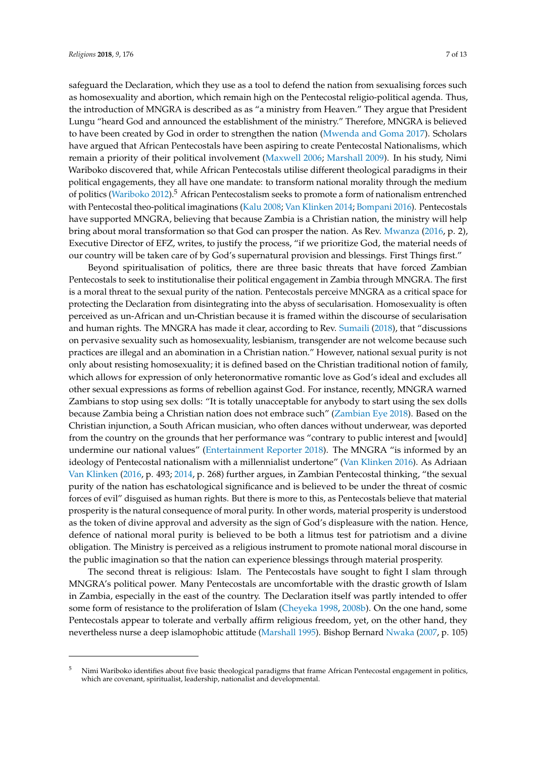safeguard the Declaration, which they use as a tool to defend the nation from sexualising forces such as homosexuality and abortion, which remain high on the Pentecostal religio-political agenda. Thus, the introduction of MNGRA is described as as "a ministry from Heaven." They argue that President Lungu "heard God and announced the establishment of the ministry." Therefore, MNGRA is believed to have been created by God in order to strengthen the nation [\(Mwenda and Goma](#page-11-11) [2017\)](#page-11-11). Scholars have argued that African Pentecostals have been aspiring to create Pentecostal Nationalisms, which remain a priority of their political involvement [\(Maxwell](#page-11-12) [2006;](#page-11-12) [Marshall](#page-11-13) [2009\)](#page-11-13). In his study, Nimi Wariboko discovered that, while African Pentecostals utilise different theological paradigms in their political engagements, they all have one mandate: to transform national morality through the medium of politics [\(Wariboko](#page-12-10) [2012\)](#page-12-10).<sup>5</sup> African Pentecostalism seeks to promote a form of nationalism entrenched with Pentecostal theo-political imaginations [\(Kalu](#page-11-14) [2008;](#page-11-14) [Van Klinken](#page-12-5) [2014;](#page-12-5) [Bompani](#page-10-13) [2016\)](#page-10-13). Pentecostals have supported MNGRA, believing that because Zambia is a Christian nation, the ministry will help bring about moral transformation so that God can prosper the nation. As Rev. [Mwanza](#page-11-15) [\(2016,](#page-11-15) p. 2), Executive Director of EFZ, writes, to justify the process, "if we prioritize God, the material needs of our country will be taken care of by God's supernatural provision and blessings. First Things first."

Beyond spiritualisation of politics, there are three basic threats that have forced Zambian Pentecostals to seek to institutionalise their political engagement in Zambia through MNGRA. The first is a moral threat to the sexual purity of the nation. Pentecostals perceive MNGRA as a critical space for protecting the Declaration from disintegrating into the abyss of secularisation. Homosexuality is often perceived as un-African and un-Christian because it is framed within the discourse of secularisation and human rights. The MNGRA has made it clear, according to Rev. [Sumaili](#page-12-0) [\(2018\)](#page-12-0), that "discussions on pervasive sexuality such as homosexuality, lesbianism, transgender are not welcome because such practices are illegal and an abomination in a Christian nation." However, national sexual purity is not only about resisting homosexuality; it is defined based on the Christian traditional notion of family, which allows for expression of only heteronormative romantic love as God's ideal and excludes all other sexual expressions as forms of rebellion against God. For instance, recently, MNGRA warned Zambians to stop using sex dolls: "It is totally unacceptable for anybody to start using the sex dolls because Zambia being a Christian nation does not embrace such" [\(Zambian Eye](#page-12-11) [2018\)](#page-12-11). Based on the Christian injunction, a South African musician, who often dances without underwear, was deported from the country on the grounds that her performance was "contrary to public interest and [would] undermine our national values" [\(Entertainment Reporter](#page-10-14) [2018\)](#page-10-14). The MNGRA "is informed by an ideology of Pentecostal nationalism with a millennialist undertone" [\(Van Klinken](#page-12-12) [2016\)](#page-12-12). As Adriaan [Van Klinken](#page-12-5) [\(2016,](#page-12-12) p. 493; [2014,](#page-12-5) p. 268) further argues, in Zambian Pentecostal thinking, "the sexual purity of the nation has eschatological significance and is believed to be under the threat of cosmic forces of evil" disguised as human rights. But there is more to this, as Pentecostals believe that material prosperity is the natural consequence of moral purity. In other words, material prosperity is understood as the token of divine approval and adversity as the sign of God's displeasure with the nation. Hence, defence of national moral purity is believed to be both a litmus test for patriotism and a divine obligation. The Ministry is perceived as a religious instrument to promote national moral discourse in the public imagination so that the nation can experience blessings through material prosperity.

The second threat is religious: Islam. The Pentecostals have sought to fight I slam through MNGRA's political power. Many Pentecostals are uncomfortable with the drastic growth of Islam in Zambia, especially in the east of the country. The Declaration itself was partly intended to offer some form of resistance to the proliferation of Islam [\(Cheyeka](#page-10-3) [1998,](#page-10-3) [2008b\)](#page-10-5). On the one hand, some Pentecostals appear to tolerate and verbally affirm religious freedom, yet, on the other hand, they nevertheless nurse a deep islamophobic attitude [\(Marshall](#page-11-16) [1995\)](#page-11-16). Bishop Bernard [Nwaka](#page-12-13) [\(2007,](#page-12-13) p. 105)

<sup>&</sup>lt;sup>5</sup> Nimi Wariboko identifies about five basic theological paradigms that frame African Pentecostal engagement in politics, which are covenant, spiritualist, leadership, nationalist and developmental.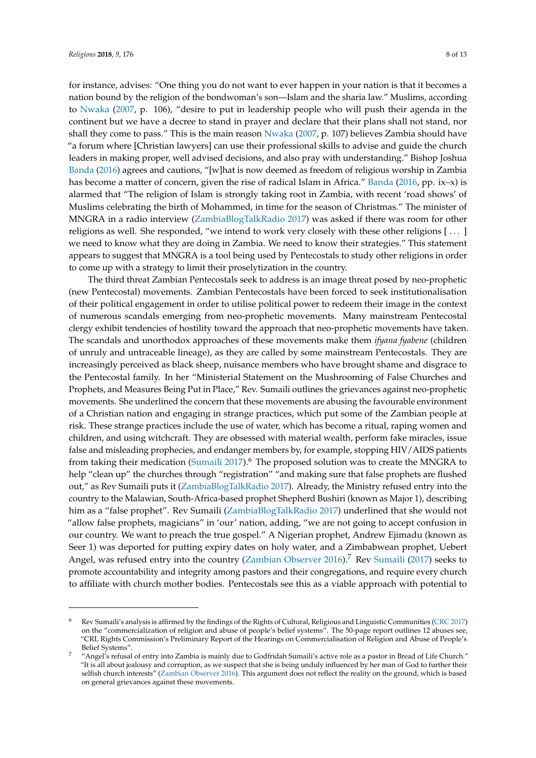for instance, advises: "One thing you do not want to ever happen in your nation is that it becomes a nation bound by the religion of the bondwoman's son—Islam and the sharia law." Muslims, according to [Nwaka](#page-12-13) [\(2007,](#page-12-13) p. 106), "desire to put in leadership people who will push their agenda in the continent but we have a decree to stand in prayer and declare that their plans shall not stand, nor shall they come to pass." This is the main reason [Nwaka](#page-12-13) [\(2007,](#page-12-13) p. 107) believes Zambia should have "a forum where [Christian lawyers] can use their professional skills to advise and guide the church leaders in making proper, well advised decisions, and also pray with understanding." Bishop Joshua [Banda](#page-10-15) [\(2016\)](#page-10-15) agrees and cautions, "[w]hat is now deemed as freedom of religious worship in Zambia has become a matter of concern, given the rise of radical Islam in Africa." [Banda](#page-10-15) [\(2016,](#page-10-15) pp. ix–x) is alarmed that "The religion of Islam is strongly taking root in Zambia, with recent 'road shows' of Muslims celebrating the birth of Mohammed, in time for the season of Christmas." The minister of MNGRA in a radio interview [\(ZambiaBlogTalkRadio](#page-12-6) [2017\)](#page-12-6) was asked if there was room for other religions as well. She responded, "we intend to work very closely with these other religions [ . . . ] we need to know what they are doing in Zambia. We need to know their strategies." This statement appears to suggest that MNGRA is a tool being used by Pentecostals to study other religions in order to come up with a strategy to limit their proselytization in the country.

The third threat Zambian Pentecostals seek to address is an image threat posed by neo-prophetic (new Pentecostal) movements. Zambian Pentecostals have been forced to seek institutionalisation of their political engagement in order to utilise political power to redeem their image in the context of numerous scandals emerging from neo-prophetic movements. Many mainstream Pentecostal clergy exhibit tendencies of hostility toward the approach that neo-prophetic movements have taken. The scandals and unorthodox approaches of these movements make them *ifyana fyabene* (children of unruly and untraceable lineage), as they are called by some mainstream Pentecostals. They are increasingly perceived as black sheep, nuisance members who have brought shame and disgrace to the Pentecostal family. In her "Ministerial Statement on the Mushrooming of False Churches and Prophets, and Measures Being Put in Place," Rev. Sumaili outlines the grievances against neo-prophetic movements. She underlined the concern that these movements are abusing the favourable environment of a Christian nation and engaging in strange practices, which put some of the Zambian people at risk. These strange practices include the use of water, which has become a ritual, raping women and children, and using witchcraft. They are obsessed with material wealth, perform fake miracles, issue false and misleading prophecies, and endanger members by, for example, stopping HIV/AIDS patients from taking their medication [\(Sumaili](#page-12-14) [2017\)](#page-12-14).<sup>6</sup> The proposed solution was to create the MNGRA to help "clean up" the churches through "registration" "and making sure that false prophets are flushed out," as Rev Sumaili puts it [\(ZambiaBlogTalkRadio](#page-12-6) [2017\)](#page-12-6). Already, the Ministry refused entry into the country to the Malawian, South-Africa-based prophet Shepherd Bushiri (known as Major 1), describing him as a "false prophet". Rev Sumaili [\(ZambiaBlogTalkRadio](#page-12-6) [2017\)](#page-12-6) underlined that she would not "allow false prophets, magicians" in 'our' nation, adding, "we are not going to accept confusion in our country. We want to preach the true gospel." A Nigerian prophet, Andrew Ejimadu (known as Seer 1) was deported for putting expiry dates on holy water, and a Zimbabwean prophet, Uebert Angel, was refused entry into the country [\(Zambian Observer](#page-12-15) [2016\)](#page-12-15).<sup>7</sup> Rev [Sumaili](#page-12-14) [\(2017\)](#page-12-14) seeks to promote accountability and integrity among pastors and their congregations, and require every church to affiliate with church mother bodies. Pentecostals see this as a viable approach with potential to

<sup>6</sup> Rev Sumaili's analysis is affirmed by the findings of the Rights of Cultural, Religious and Linguistic Communities [\(CRC](#page-10-16) [2017\)](#page-10-16) on the "commercialization of religion and abuse of people's belief systems". The 50-page report outlines 12 abuses see, "CRL Rights Commission's Preliminary Report of the Hearings on Commercialisation of Religion and Abuse of People's Belief Systems".

<sup>7</sup> "Angel's refusal of entry into Zambia is mainly due to Godfridah Sumaili's active role as a pastor in Bread of Life Church." "It is all about jealousy and corruption, as we suspect that she is being unduly influenced by her man of God to further their selfish church interests" [\(Zambian Observer](#page-12-15) [2016\)](#page-12-15). This argument does not reflect the reality on the ground, which is based on general grievances against these movements.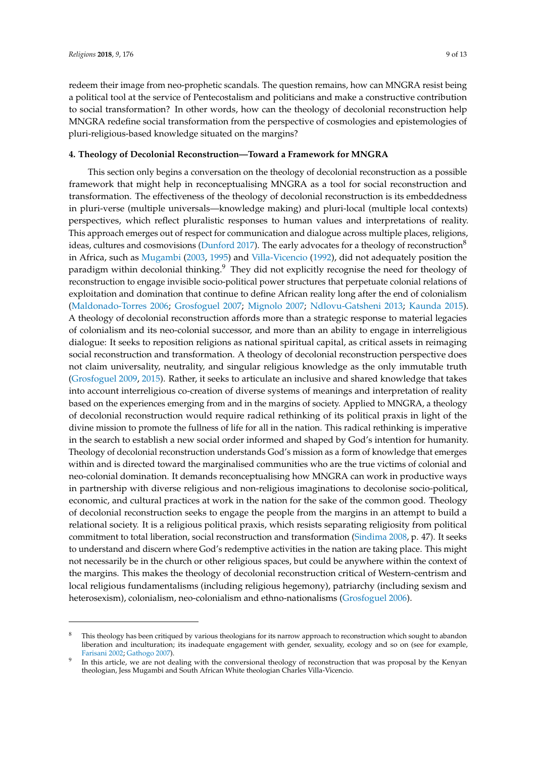redeem their image from neo-prophetic scandals. The question remains, how can MNGRA resist being a political tool at the service of Pentecostalism and politicians and make a constructive contribution to social transformation? In other words, how can the theology of decolonial reconstruction help MNGRA redefine social transformation from the perspective of cosmologies and epistemologies of pluri-religious-based knowledge situated on the margins?

## **4. Theology of Decolonial Reconstruction—Toward a Framework for MNGRA**

This section only begins a conversation on the theology of decolonial reconstruction as a possible framework that might help in reconceptualising MNGRA as a tool for social reconstruction and transformation. The effectiveness of the theology of decolonial reconstruction is its embeddedness in pluri-verse (multiple universals—knowledge making) and pluri-local (multiple local contexts) perspectives, which reflect pluralistic responses to human values and interpretations of reality. This approach emerges out of respect for communication and dialogue across multiple places, religions, ideas, cultures and cosmovisions [\(Dunford](#page-10-17) [2017\)](#page-10-17). The early advocates for a theology of reconstruction<sup>8</sup> in Africa, such as [Mugambi](#page-11-17) [\(2003,](#page-11-17) [1995\)](#page-11-18) and [Villa-Vicencio](#page-12-16) [\(1992\)](#page-12-16), did not adequately position the paradigm within decolonial thinking.<sup>9</sup> They did not explicitly recognise the need for theology of reconstruction to engage invisible socio-political power structures that perpetuate colonial relations of exploitation and domination that continue to define African reality long after the end of colonialism [\(Maldonado-Torres](#page-11-19) [2006;](#page-11-19) [Grosfoguel](#page-11-20) [2007;](#page-11-20) [Mignolo](#page-11-21) [2007;](#page-11-21) [Ndlovu-Gatsheni](#page-11-22) [2013;](#page-11-22) [Kaunda](#page-11-23) [2015\)](#page-11-23). A theology of decolonial reconstruction affords more than a strategic response to material legacies of colonialism and its neo-colonial successor, and more than an ability to engage in interreligious dialogue: It seeks to reposition religions as national spiritual capital, as critical assets in reimaging social reconstruction and transformation. A theology of decolonial reconstruction perspective does not claim universality, neutrality, and singular religious knowledge as the only immutable truth [\(Grosfoguel](#page-11-24) [2009,](#page-11-24) [2015\)](#page-11-25). Rather, it seeks to articulate an inclusive and shared knowledge that takes into account interreligious co-creation of diverse systems of meanings and interpretation of reality based on the experiences emerging from and in the margins of society. Applied to MNGRA, a theology of decolonial reconstruction would require radical rethinking of its political praxis in light of the divine mission to promote the fullness of life for all in the nation. This radical rethinking is imperative in the search to establish a new social order informed and shaped by God's intention for humanity. Theology of decolonial reconstruction understands God's mission as a form of knowledge that emerges within and is directed toward the marginalised communities who are the true victims of colonial and neo-colonial domination. It demands reconceptualising how MNGRA can work in productive ways in partnership with diverse religious and non-religious imaginations to decolonise socio-political, economic, and cultural practices at work in the nation for the sake of the common good. Theology of decolonial reconstruction seeks to engage the people from the margins in an attempt to build a relational society. It is a religious political praxis, which resists separating religiosity from political commitment to total liberation, social reconstruction and transformation [\(Sindima](#page-12-17) [2008,](#page-12-17) p. 47). It seeks to understand and discern where God's redemptive activities in the nation are taking place. This might not necessarily be in the church or other religious spaces, but could be anywhere within the context of the margins. This makes the theology of decolonial reconstruction critical of Western-centrism and local religious fundamentalisms (including religious hegemony), patriarchy (including sexism and heterosexism), colonialism, neo-colonialism and ethno-nationalisms [\(Grosfoguel](#page-11-26) [2006\)](#page-11-26).

This theology has been critiqued by various theologians for its narrow approach to reconstruction which sought to abandon liberation and inculturation; its inadequate engagement with gender, sexuality, ecology and so on (see for example, [Farisani](#page-10-18) [2002;](#page-10-18) [Gathogo](#page-10-19) [2007\)](#page-10-19).

<sup>9</sup> In this article, we are not dealing with the conversional theology of reconstruction that was proposal by the Kenyan theologian, Jess Mugambi and South African White theologian Charles Villa-Vicencio.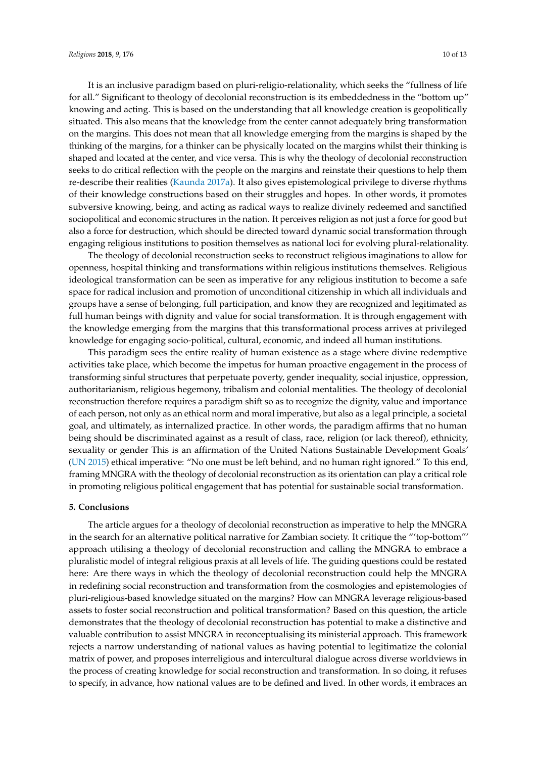It is an inclusive paradigm based on pluri-religio-relationality, which seeks the "fullness of life for all." Significant to theology of decolonial reconstruction is its embeddedness in the "bottom up" knowing and acting. This is based on the understanding that all knowledge creation is geopolitically situated. This also means that the knowledge from the center cannot adequately bring transformation on the margins. This does not mean that all knowledge emerging from the margins is shaped by the thinking of the margins, for a thinker can be physically located on the margins whilst their thinking is shaped and located at the center, and vice versa. This is why the theology of decolonial reconstruction seeks to do critical reflection with the people on the margins and reinstate their questions to help them re-describe their realities [\(Kaunda](#page-11-27) [2017a\)](#page-11-27). It also gives epistemological privilege to diverse rhythms of their knowledge constructions based on their struggles and hopes. In other words, it promotes subversive knowing, being, and acting as radical ways to realize divinely redeemed and sanctified sociopolitical and economic structures in the nation. It perceives religion as not just a force for good but also a force for destruction, which should be directed toward dynamic social transformation through engaging religious institutions to position themselves as national loci for evolving plural-relationality.

The theology of decolonial reconstruction seeks to reconstruct religious imaginations to allow for openness, hospital thinking and transformations within religious institutions themselves. Religious ideological transformation can be seen as imperative for any religious institution to become a safe space for radical inclusion and promotion of unconditional citizenship in which all individuals and groups have a sense of belonging, full participation, and know they are recognized and legitimated as full human beings with dignity and value for social transformation. It is through engagement with the knowledge emerging from the margins that this transformational process arrives at privileged knowledge for engaging socio-political, cultural, economic, and indeed all human institutions.

This paradigm sees the entire reality of human existence as a stage where divine redemptive activities take place, which become the impetus for human proactive engagement in the process of transforming sinful structures that perpetuate poverty, gender inequality, social injustice, oppression, authoritarianism, religious hegemony, tribalism and colonial mentalities. The theology of decolonial reconstruction therefore requires a paradigm shift so as to recognize the dignity, value and importance of each person, not only as an ethical norm and moral imperative, but also as a legal principle, a societal goal, and ultimately, as internalized practice. In other words, the paradigm affirms that no human being should be discriminated against as a result of class, race, religion (or lack thereof), ethnicity, sexuality or gender This is an affirmation of the United Nations Sustainable Development Goals' [\(UN](#page-12-18) [2015\)](#page-12-18) ethical imperative: "No one must be left behind, and no human right ignored." To this end, framing MNGRA with the theology of decolonial reconstruction as its orientation can play a critical role in promoting religious political engagement that has potential for sustainable social transformation.

# **5. Conclusions**

The article argues for a theology of decolonial reconstruction as imperative to help the MNGRA in the search for an alternative political narrative for Zambian society. It critique the "'top-bottom"' approach utilising a theology of decolonial reconstruction and calling the MNGRA to embrace a pluralistic model of integral religious praxis at all levels of life. The guiding questions could be restated here: Are there ways in which the theology of decolonial reconstruction could help the MNGRA in redefining social reconstruction and transformation from the cosmologies and epistemologies of pluri-religious-based knowledge situated on the margins? How can MNGRA leverage religious-based assets to foster social reconstruction and political transformation? Based on this question, the article demonstrates that the theology of decolonial reconstruction has potential to make a distinctive and valuable contribution to assist MNGRA in reconceptualising its ministerial approach. This framework rejects a narrow understanding of national values as having potential to legitimatize the colonial matrix of power, and proposes interreligious and intercultural dialogue across diverse worldviews in the process of creating knowledge for social reconstruction and transformation. In so doing, it refuses to specify, in advance, how national values are to be defined and lived. In other words, it embraces an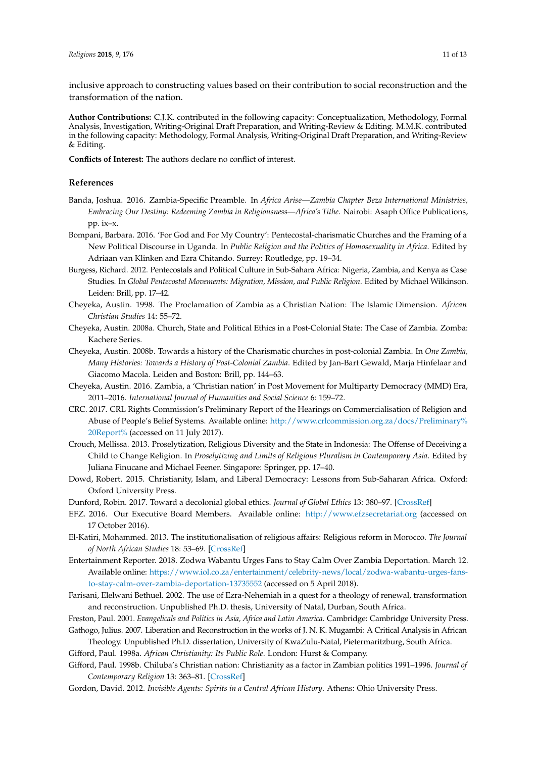inclusive approach to constructing values based on their contribution to social reconstruction and the transformation of the nation.

**Author Contributions:** C.J.K. contributed in the following capacity: Conceptualization, Methodology, Formal Analysis, Investigation, Writing-Original Draft Preparation, and Writing-Review & Editing. M.M.K. contributed in the following capacity: Methodology, Formal Analysis, Writing-Original Draft Preparation, and Writing-Review & Editing.

**Conflicts of Interest:** The authors declare no conflict of interest.

## **References**

- <span id="page-10-15"></span>Banda, Joshua. 2016. Zambia-Specific Preamble. In *Africa Arise—Zambia Chapter Beza International Ministries, Embracing Our Destiny: Redeeming Zambia in Religiousness—Africa's Tithe*. Nairobi: Asaph Office Publications, pp. ix–x.
- <span id="page-10-13"></span>Bompani, Barbara. 2016. 'For God and For My Country': Pentecostal-charismatic Churches and the Framing of a New Political Discourse in Uganda. In *Public Religion and the Politics of Homosexuality in Africa*. Edited by Adriaan van Klinken and Ezra Chitando. Surrey: Routledge, pp. 19–34.
- <span id="page-10-11"></span>Burgess, Richard. 2012. Pentecostals and Political Culture in Sub-Sahara Africa: Nigeria, Zambia, and Kenya as Case Studies. In *Global Pentecostal Movements: Migration, Mission, and Public Religion*. Edited by Michael Wilkinson. Leiden: Brill, pp. 17–42.
- <span id="page-10-3"></span>Cheyeka, Austin. 1998. The Proclamation of Zambia as a Christian Nation: The Islamic Dimension. *African Christian Studies* 14: 55–72.
- <span id="page-10-4"></span>Cheyeka, Austin. 2008a. Church, State and Political Ethics in a Post-Colonial State: The Case of Zambia. Zomba: Kachere Series.
- <span id="page-10-5"></span>Cheyeka, Austin. 2008b. Towards a history of the Charismatic churches in post-colonial Zambia. In *One Zambia, Many Histories: Towards a History of Post-Colonial Zambia*. Edited by Jan-Bart Gewald, Marja Hinfelaar and Giacomo Macola. Leiden and Boston: Brill, pp. 144–63.
- <span id="page-10-6"></span>Cheyeka, Austin. 2016. Zambia, a 'Christian nation' in Post Movement for Multiparty Democracy (MMD) Era, 2011–2016. *International Journal of Humanities and Social Science* 6: 159–72.
- <span id="page-10-16"></span>CRC. 2017. CRL Rights Commission's Preliminary Report of the Hearings on Commercialisation of Religion and Abuse of People's Belief Systems. Available online: [http://www.crlcommission.org.za/docs/Preliminary%](http://www.crlcommission.org.za/docs/Preliminary%20Report%) [20Report%](http://www.crlcommission.org.za/docs/Preliminary%20Report%) (accessed on 11 July 2017).
- <span id="page-10-1"></span>Crouch, Mellissa. 2013. Proselytization, Religious Diversity and the State in Indonesia: The Offense of Deceiving a Child to Change Religion. In *Proselytizing and Limits of Religious Pluralism in Contemporary Asia*. Edited by Juliana Finucane and Michael Feener. Singapore: Springer, pp. 17–40.
- <span id="page-10-12"></span>Dowd, Robert. 2015. Christianity, Islam, and Liberal Democracy: Lessons from Sub-Saharan Africa. Oxford: Oxford University Press.
- <span id="page-10-17"></span>Dunford, Robin. 2017. Toward a decolonial global ethics. *Journal of Global Ethics* 13: 380–97. [\[CrossRef\]](http://dx.doi.org/10.1080/17449626.2017.1373140)
- <span id="page-10-8"></span>EFZ. 2016. Our Executive Board Members. Available online: <http://www.efzsecretariat.org> (accessed on 17 October 2016).
- <span id="page-10-0"></span>El-Katiri, Mohammed. 2013. The institutionalisation of religious affairs: Religious reform in Morocco. *The Journal of North African Studies* 18: 53–69. [\[CrossRef\]](http://dx.doi.org/10.1080/13629387.2012.712886)
- <span id="page-10-14"></span>Entertainment Reporter. 2018. Zodwa Wabantu Urges Fans to Stay Calm Over Zambia Deportation. March 12. Available online: [https://www.iol.co.za/entertainment/celebrity-news/local/zodwa-wabantu-urges-fans](https://www.iol.co.za/entertainment/celebrity-news/local/zodwa-wabantu-urges-fans-to-stay-calm-over-zambia-deportation-13735552)[to-stay-calm-over-zambia-deportation-13735552](https://www.iol.co.za/entertainment/celebrity-news/local/zodwa-wabantu-urges-fans-to-stay-calm-over-zambia-deportation-13735552) (accessed on 5 April 2018).
- <span id="page-10-18"></span>Farisani, Elelwani Bethuel. 2002. The use of Ezra-Nehemiah in a quest for a theology of renewal, transformation and reconstruction. Unpublished Ph.D. thesis, University of Natal, Durban, South Africa.
- <span id="page-10-2"></span>Freston, Paul. 2001. *Evangelicals and Politics in Asia, Africa and Latin America*. Cambridge: Cambridge University Press.
- <span id="page-10-19"></span>Gathogo, Julius. 2007. Liberation and Reconstruction in the works of J. N. K. Mugambi: A Critical Analysis in African Theology. Unpublished Ph.D. dissertation, University of KwaZulu-Natal, Pietermaritzburg, South Africa.

<span id="page-10-9"></span>Gifford, Paul. 1998a. *African Christianity: Its Public Role*. London: Hurst & Company.

- <span id="page-10-10"></span>Gifford, Paul. 1998b. Chiluba's Christian nation: Christianity as a factor in Zambian politics 1991–1996. *Journal of Contemporary Religion* 13: 363–81. [\[CrossRef\]](http://dx.doi.org/10.1080/13537909808580842)
- <span id="page-10-7"></span>Gordon, David. 2012. *Invisible Agents: Spirits in a Central African History*. Athens: Ohio University Press.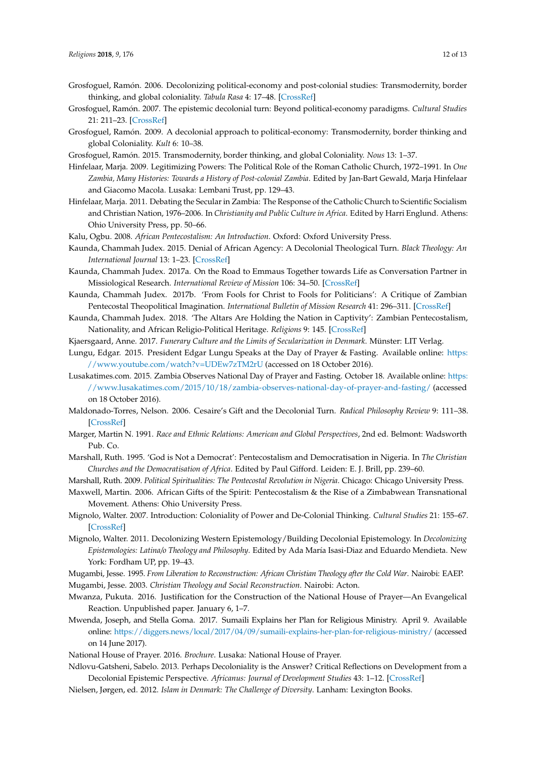- <span id="page-11-26"></span>Grosfoguel, Ramón. 2006. Decolonizing political-economy and post-colonial studies: Transmodernity, border thinking, and global coloniality. *Tabula Rasa* 4: 17–48. [\[CrossRef\]](http://dx.doi.org/10.25058/20112742.245)
- <span id="page-11-20"></span>Grosfoguel, Ramón. 2007. The epistemic decolonial turn: Beyond political-economy paradigms. *Cultural Studies* 21: 211–23. [\[CrossRef\]](http://dx.doi.org/10.1080/09502380601162514)
- <span id="page-11-24"></span>Grosfoguel, Ramón. 2009. A decolonial approach to political-economy: Transmodernity, border thinking and global Coloniality. *Kult* 6: 10–38.
- <span id="page-11-25"></span><span id="page-11-4"></span>Grosfoguel, Ramón. 2015. Transmodernity, border thinking, and global Coloniality. *Nous* 13: 1–37.
- Hinfelaar, Marja. 2009. Legitimizing Powers: The Political Role of the Roman Catholic Church, 1972–1991. In *One Zambia, Many Histories: Towards a History of Post-colonial Zambia*. Edited by Jan-Bart Gewald, Marja Hinfelaar and Giacomo Macola. Lusaka: Lembani Trust, pp. 129–43.
- <span id="page-11-5"></span>Hinfelaar, Marja. 2011. Debating the Secular in Zambia: The Response of the Catholic Church to Scientific Socialism and Christian Nation, 1976–2006. In *Christianity and Public Culture in Africa*. Edited by Harri Englund. Athens: Ohio University Press, pp. 50–66.
- <span id="page-11-14"></span>Kalu, Ogbu. 2008. *African Pentecostalism: An Introduction*. Oxford: Oxford University Press.
- <span id="page-11-23"></span>Kaunda, Chammah Judex. 2015. Denial of African Agency: A Decolonial Theological Turn. *Black Theology: An International Journal* 13: 1–23. [\[CrossRef\]](http://dx.doi.org/10.1179/1476994815Z.00000000048)
- <span id="page-11-27"></span>Kaunda, Chammah Judex. 2017a. On the Road to Emmaus Together towards Life as Conversation Partner in Missiological Research. *International Review of Mission* 106: 34–50. [\[CrossRef\]](http://dx.doi.org/10.1111/irom.12162)
- <span id="page-11-10"></span>Kaunda, Chammah Judex. 2017b. 'From Fools for Christ to Fools for Politicians': A Critique of Zambian Pentecostal Theopolitical Imagination. *International Bulletin of Mission Research* 41: 296–311. [\[CrossRef\]](http://dx.doi.org/10.1177/2396939317730694)
- <span id="page-11-6"></span>Kaunda, Chammah Judex. 2018. 'The Altars Are Holding the Nation in Captivity': Zambian Pentecostalism, Nationality, and African Religio-Political Heritage. *Religions* 9: 145. [\[CrossRef\]](http://dx.doi.org/10.3390/rel9050145)
- <span id="page-11-1"></span>Kjaersgaard, Anne. 2017. *Funerary Culture and the Limits of Secularization in Denmark*. Münster: LIT Verlag.
- <span id="page-11-8"></span>Lungu, Edgar. 2015. President Edgar Lungu Speaks at the Day of Prayer & Fasting. Available online: [https:](https://www.youtube.com/watch?v=UDEw7zTM2rU) [//www.youtube.com/watch?v=UDEw7zTM2rU](https://www.youtube.com/watch?v=UDEw7zTM2rU) (accessed on 18 October 2016).
- <span id="page-11-7"></span>Lusakatimes.com. 2015. Zambia Observes National Day of Prayer and Fasting. October 18. Available online: [https:](https://www.lusakatimes.com/2015/10/18/zambia-observes-national-day-of-prayer-and-fasting/) [//www.lusakatimes.com/2015/10/18/zambia-observes-national-day-of-prayer-and-fasting/](https://www.lusakatimes.com/2015/10/18/zambia-observes-national-day-of-prayer-and-fasting/) (accessed on 18 October 2016).
- <span id="page-11-19"></span>Maldonado-Torres, Nelson. 2006. Cesaire's Gift and the Decolonial Turn. *Radical Philosophy Review* 9: 111–38. [\[CrossRef\]](http://dx.doi.org/10.5840/radphilrev20069217)
- <span id="page-11-2"></span>Marger, Martin N. 1991. *Race and Ethnic Relations: American and Global Perspectives*, 2nd ed. Belmont: Wadsworth Pub. Co.
- <span id="page-11-16"></span>Marshall, Ruth. 1995. 'God is Not a Democrat': Pentecostalism and Democratisation in Nigeria. In *The Christian Churches and the Democratisation of Africa*. Edited by Paul Gifford. Leiden: E. J. Brill, pp. 239–60.
- <span id="page-11-13"></span>Marshall, Ruth. 2009. *Political Spiritualities: The Pentecostal Revolution in Nigeria*. Chicago: Chicago University Press.

<span id="page-11-12"></span>Maxwell, Martin. 2006. African Gifts of the Spirit: Pentecostalism & the Rise of a Zimbabwean Transnational Movement. Athens: Ohio University Press.

- <span id="page-11-21"></span>Mignolo, Walter. 2007. Introduction: Coloniality of Power and De-Colonial Thinking. *Cultural Studies* 21: 155–67. [\[CrossRef\]](http://dx.doi.org/10.1080/09502380601162498)
- <span id="page-11-0"></span>Mignolo, Walter. 2011. Decolonizing Western Epistemology/Building Decolonial Epistemology. In *Decolonizing Epistemologies: Latina/o Theology and Philosophy*. Edited by Ada María Isasi-Diaz and Eduardo Mendieta. New York: Fordham UP, pp. 19–43.

<span id="page-11-18"></span><span id="page-11-17"></span>Mugambi, Jesse. 1995. *From Liberation to Reconstruction: African Christian Theology after the Cold War*. Nairobi: EAEP. Mugambi, Jesse. 2003. *Christian Theology and Social Reconstruction*. Nairobi: Acton.

- <span id="page-11-15"></span>Mwanza, Pukuta. 2016. Justification for the Construction of the National House of Prayer—An Evangelical Reaction. Unpublished paper. January 6, 1–7.
- <span id="page-11-11"></span>Mwenda, Joseph, and Stella Goma. 2017. Sumaili Explains her Plan for Religious Ministry. April 9. Available online: <https://diggers.news/local/2017/04/09/sumaili-explains-her-plan-for-religious-ministry/> (accessed on 14 June 2017).
- <span id="page-11-9"></span>National House of Prayer. 2016. *Brochure*. Lusaka: National House of Prayer.
- <span id="page-11-22"></span>Ndlovu-Gatsheni, Sabelo. 2013. Perhaps Decoloniality is the Answer? Critical Reflections on Development from a Decolonial Epistemic Perspective. *Africanus: Journal of Development Studies* 43: 1–12. [\[CrossRef\]](http://dx.doi.org/10.25159/0304-615X/2298)
- <span id="page-11-3"></span>Nielsen, Jørgen, ed. 2012. *Islam in Denmark: The Challenge of Diversity*. Lanham: Lexington Books.